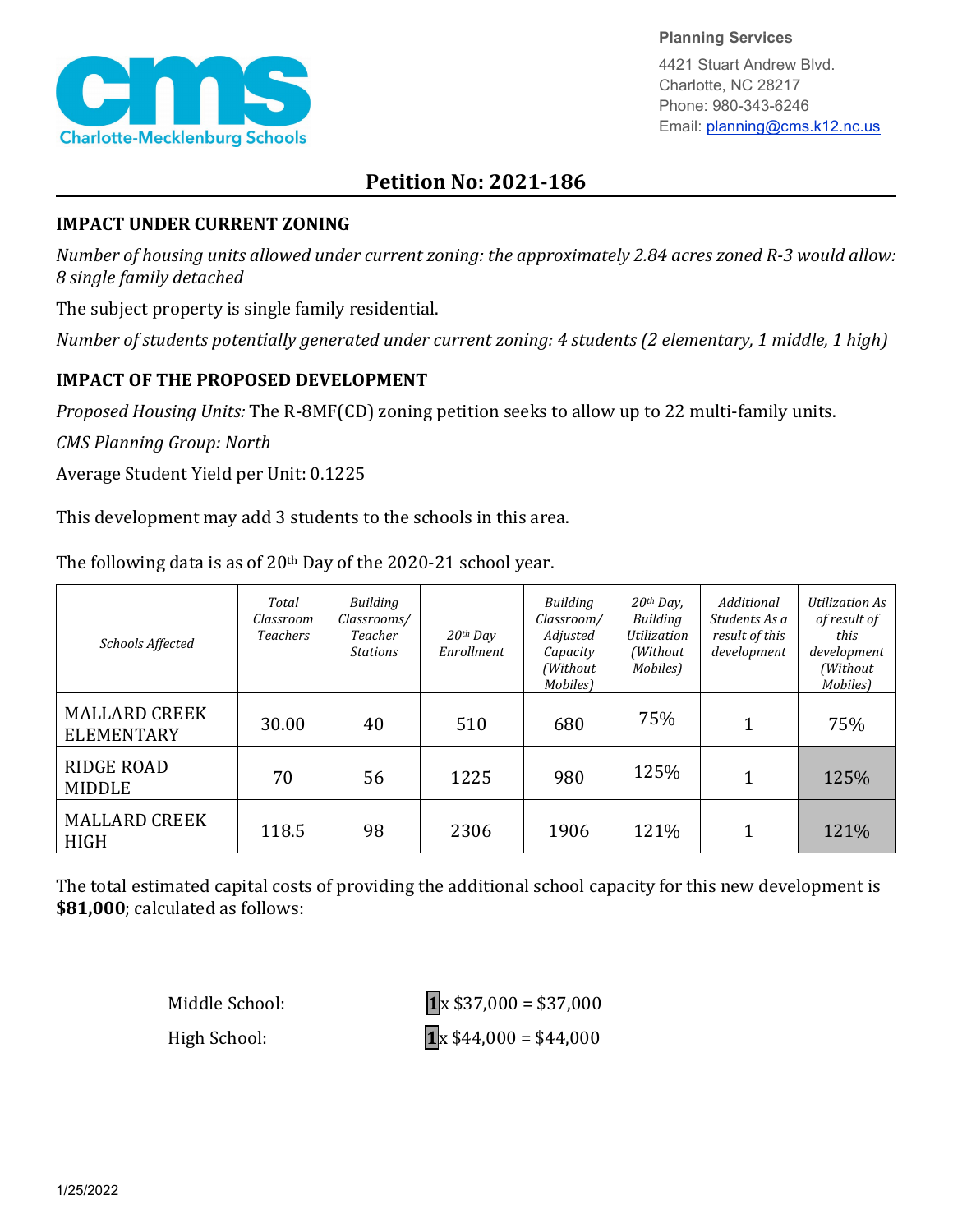

**Planning Services**

4421 Stuart Andrew Blvd. Charlotte, NC 28217 Phone: 980-343-6246 Email: planning@cms.k12.nc.us

## **Petition No: 2021-186**

## **IMPACT UNDER CURRENT ZONING**

*Number of housing units allowed under current zoning: the approximately 2.84 acres zoned R-3 would allow: 8 single family detached*

The subject property is single family residential.

*Number of students potentially generated under current zoning: 4 students (2 elementary, 1 middle, 1 high)*

## **IMPACT OF THE PROPOSED DEVELOPMENT**

*Proposed Housing Units:* The R-8MF(CD) zoning petition seeks to allow up to 22 multi-family units.

*CMS Planning Group: North*

Average Student Yield per Unit: 0.1225

This development may add 3 students to the schools in this area.

The following data is as of  $20<sup>th</sup>$  Day of the 2020-21 school year.

| Schools Affected                          | Total<br>Classroom<br><b>Teachers</b> | Building<br>Classrooms/<br>Teacher<br><b>Stations</b> | $20$ <sup>th</sup> Day<br>Enrollment | Building<br>Classroom/<br>Adjusted<br>Capacity<br>(Without<br>Mobiles) | $20th$ Day,<br>Building<br>Utilization<br>(Without)<br>Mobiles) | Additional<br>Students As a<br>result of this<br>development | Utilization As<br>of result of<br>this<br>development<br>(Without<br>Mobiles) |
|-------------------------------------------|---------------------------------------|-------------------------------------------------------|--------------------------------------|------------------------------------------------------------------------|-----------------------------------------------------------------|--------------------------------------------------------------|-------------------------------------------------------------------------------|
| <b>MALLARD CREEK</b><br><b>ELEMENTARY</b> | 30.00                                 | 40                                                    | 510                                  | 680                                                                    | 75%                                                             |                                                              | 75%                                                                           |
| <b>RIDGE ROAD</b><br><b>MIDDLE</b>        | 70                                    | 56                                                    | 1225                                 | 980                                                                    | 125%                                                            | 1                                                            | 125%                                                                          |
| <b>MALLARD CREEK</b><br><b>HIGH</b>       | 118.5                                 | 98                                                    | 2306                                 | 1906                                                                   | 121%                                                            |                                                              | 121%                                                                          |

The total estimated capital costs of providing the additional school capacity for this new development is **\$81,000**; calculated as follows:

Middle School: **1**x \$37,000 = \$37,000 High School: **1**<sub>x</sub> \$44,000 = \$44,000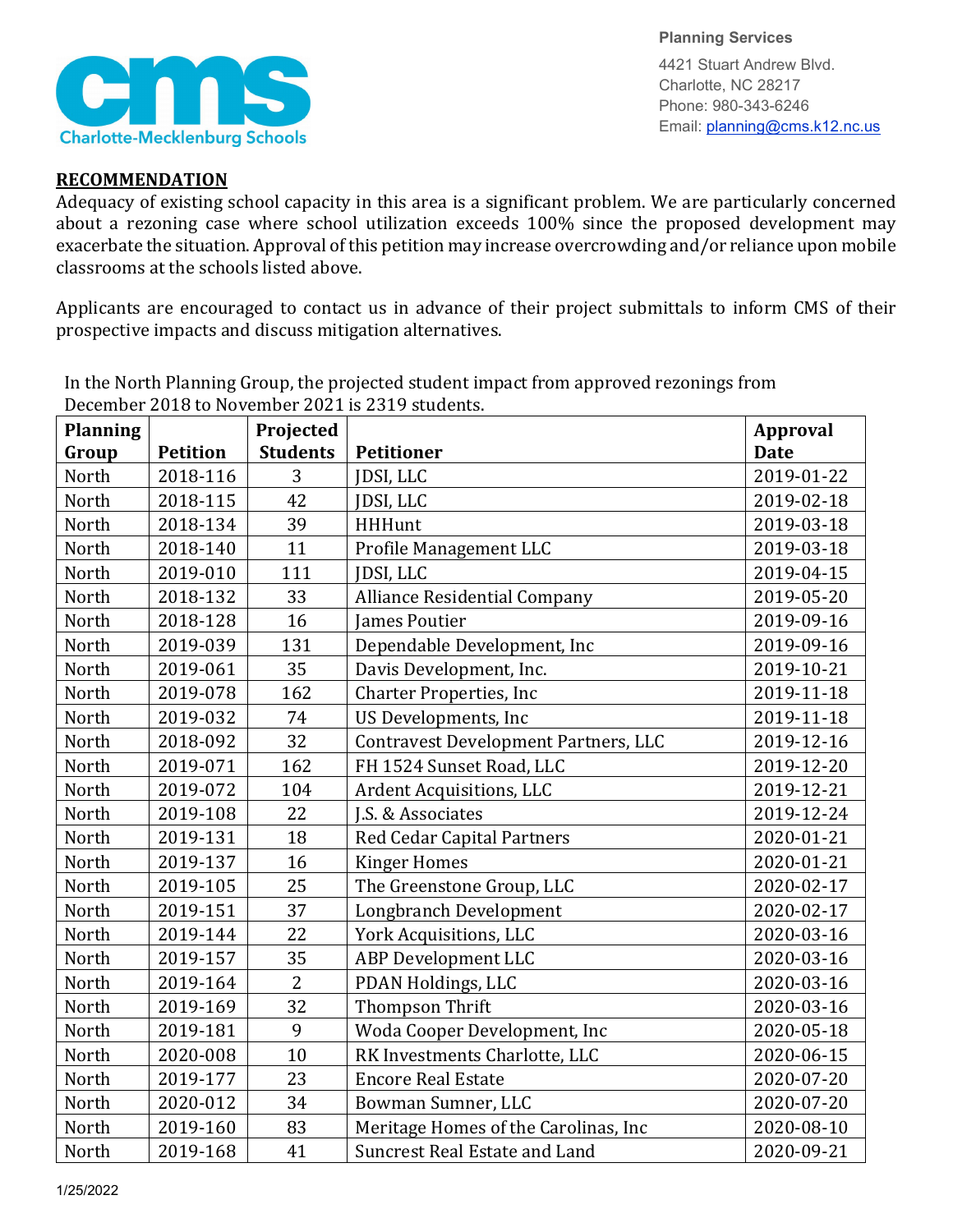

**Planning Services** 4421 Stuart Andrew Blvd. Charlotte, NC 28217 Phone: 980-343-6246 Email: planning@cms.k12.nc.us

## **RECOMMENDATION**

Adequacy of existing school capacity in this area is a significant problem. We are particularly concerned about a rezoning case where school utilization exceeds 100% since the proposed development may exacerbate the situation. Approval of this petition may increase overcrowding and/or reliance upon mobile classrooms at the schools listed above.

Applicants are encouraged to contact us in advance of their project submittals to inform CMS of their prospective impacts and discuss mitigation alternatives.

| <b>Planning</b> |                 | Projected       |                                             | <b>Approval</b> |
|-----------------|-----------------|-----------------|---------------------------------------------|-----------------|
| Group           | <b>Petition</b> | <b>Students</b> | <b>Petitioner</b>                           | <b>Date</b>     |
| North           | 2018-116        | 3               | JDSI, LLC                                   | 2019-01-22      |
| North           | 2018-115        | 42              | <b>JDSI, LLC</b>                            | 2019-02-18      |
| North           | 2018-134        | 39              | <b>HHHunt</b>                               | 2019-03-18      |
| North           | 2018-140        | 11              | Profile Management LLC                      | 2019-03-18      |
| North           | 2019-010        | 111             | JDSI, LLC                                   | 2019-04-15      |
| North           | 2018-132        | 33              | <b>Alliance Residential Company</b>         | 2019-05-20      |
| North           | 2018-128        | 16              | <b>James Poutier</b>                        | 2019-09-16      |
| North           | 2019-039        | 131             | Dependable Development, Inc                 | 2019-09-16      |
| North           | 2019-061        | 35              | Davis Development, Inc.                     | 2019-10-21      |
| North           | 2019-078        | 162             | <b>Charter Properties, Inc</b>              | 2019-11-18      |
| North           | 2019-032        | 74              | US Developments, Inc                        | 2019-11-18      |
| North           | 2018-092        | 32              | <b>Contravest Development Partners, LLC</b> | 2019-12-16      |
| North           | 2019-071        | 162             | FH 1524 Sunset Road, LLC                    | 2019-12-20      |
| North           | 2019-072        | 104             | Ardent Acquisitions, LLC                    | 2019-12-21      |
| North           | 2019-108        | 22              | J.S. & Associates                           | 2019-12-24      |
| North           | 2019-131        | 18              | <b>Red Cedar Capital Partners</b>           | 2020-01-21      |
| North           | 2019-137        | 16              | <b>Kinger Homes</b>                         | 2020-01-21      |
| North           | 2019-105        | 25              | The Greenstone Group, LLC                   | 2020-02-17      |
| North           | 2019-151        | 37              | Longbranch Development                      | 2020-02-17      |
| North           | 2019-144        | 22              | York Acquisitions, LLC                      | 2020-03-16      |
| North           | 2019-157        | 35              | <b>ABP Development LLC</b>                  | 2020-03-16      |
| North           | 2019-164        | $\overline{2}$  | PDAN Holdings, LLC                          | 2020-03-16      |
| North           | 2019-169        | 32              | <b>Thompson Thrift</b>                      | 2020-03-16      |
| North           | 2019-181        | 9               | Woda Cooper Development, Inc                | 2020-05-18      |
| North           | 2020-008        | 10              | RK Investments Charlotte, LLC               | 2020-06-15      |
| North           | 2019-177        | 23              | <b>Encore Real Estate</b>                   | 2020-07-20      |
| North           | 2020-012        | 34              | Bowman Sumner, LLC                          | 2020-07-20      |
| North           | 2019-160        | 83              | Meritage Homes of the Carolinas, Inc        | 2020-08-10      |
| North           | 2019-168        | 41              | Suncrest Real Estate and Land               | 2020-09-21      |

In the North Planning Group, the projected student impact from approved rezonings from December 2018 to November 2021 is 2319 students.